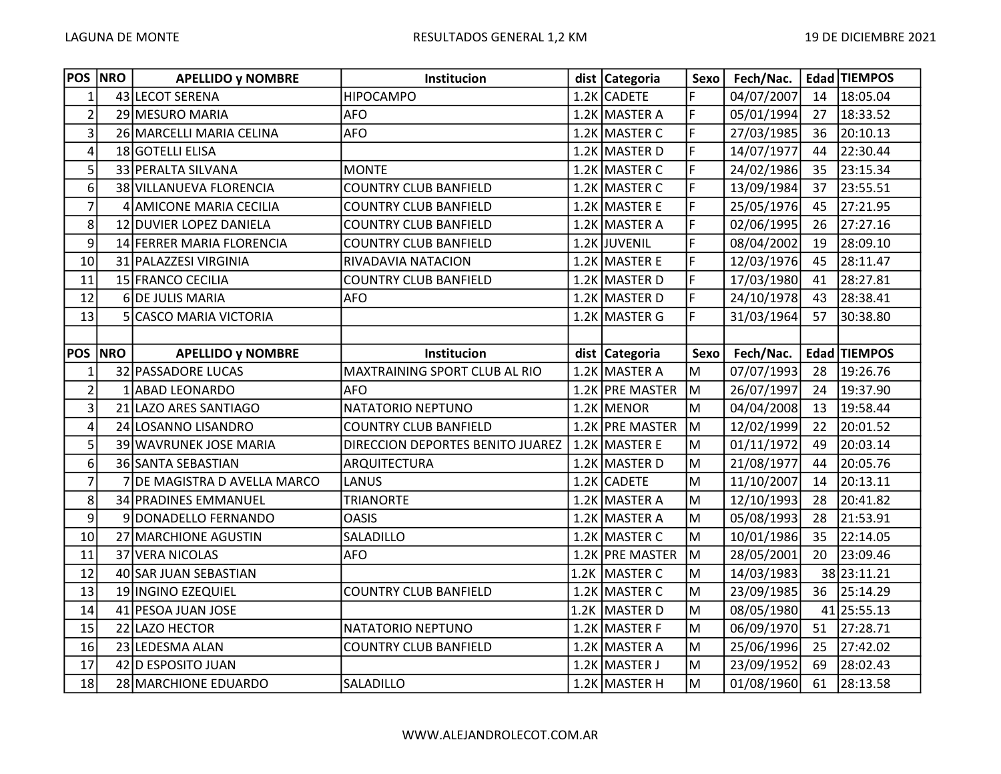| <b>POS NRO</b>          | <b>APELLIDO y NOMBRE</b>     | Institucion                      | dist   Categoria | Sexo | Fech/Nac.  |    | Edad TIEMPOS |
|-------------------------|------------------------------|----------------------------------|------------------|------|------------|----|--------------|
| $\mathbf{1}$            | 43 LECOT SERENA              | <b>HIPOCAMPO</b>                 | 1.2K CADETE      | F    | 04/07/2007 | 14 | 18:05.04     |
| $\overline{2}$          | 29 MESURO MARIA              | <b>AFO</b>                       | 1.2K MASTER A    | F    | 05/01/1994 | 27 | 18:33.52     |
| 3                       | 26 MARCELLI MARIA CELINA     | <b>AFO</b>                       | 1.2K MASTER C    | F    | 27/03/1985 | 36 | 20:10.13     |
| $\overline{\mathbf{4}}$ | 18 GOTELLI ELISA             |                                  | 1.2K MASTER D    | F    | 14/07/1977 | 44 | 22:30.44     |
| 5                       | 33 PERALTA SILVANA           | <b>MONTE</b>                     | 1.2K MASTER C    | F    | 24/02/1986 | 35 | 23:15.34     |
| 6                       | 38 VILLANUEVA FLORENCIA      | <b>COUNTRY CLUB BANFIELD</b>     | 1.2K MASTER C    | F    | 13/09/1984 | 37 | 23:55.51     |
| $\overline{7}$          | 4 AMICONE MARIA CECILIA      | <b>COUNTRY CLUB BANFIELD</b>     | 1.2K MASTER E    | F    | 25/05/1976 | 45 | 27:21.95     |
| 8                       | 12 DUVIER LOPEZ DANIELA      | <b>COUNTRY CLUB BANFIELD</b>     | 1.2K MASTER A    | F    | 02/06/1995 | 26 | 27:27.16     |
| 9                       | 14 FERRER MARIA FLORENCIA    | <b>COUNTRY CLUB BANFIELD</b>     | 1.2K JUVENIL     | F    | 08/04/2002 | 19 | 28:09.10     |
| 10                      | 31 PALAZZESI VIRGINIA        | RIVADAVIA NATACION               | 1.2K MASTER E    | F    | 12/03/1976 | 45 | 28:11.47     |
| 11                      | 15 FRANCO CECILIA            | <b>COUNTRY CLUB BANFIELD</b>     | 1.2K MASTER D    | F    | 17/03/1980 | 41 | 28:27.81     |
| 12                      | 6 DE JULIS MARIA             | <b>AFO</b>                       | 1.2K MASTER D    | F    | 24/10/1978 | 43 | 28:38.41     |
| 13                      | 5 CASCO MARIA VICTORIA       |                                  | 1.2K MASTER G    | F    | 31/03/1964 | 57 | 30:38.80     |
|                         |                              |                                  |                  |      |            |    |              |
| <b>POS NRO</b>          | <b>APELLIDO y NOMBRE</b>     | Institucion                      | dist   Categoria | Sexo | Fech/Nac.  |    | Edad TIEMPOS |
| 1                       | 32 PASSADORE LUCAS           | MAXTRAINING SPORT CLUB AL RIO    | 1.2K MASTER A    | M    | 07/07/1993 | 28 | 19:26.76     |
| $\overline{2}$          | 1 ABAD LEONARDO              | <b>AFO</b>                       | 1.2K PRE MASTER  | M    | 26/07/1997 | 24 | 19:37.90     |
| 3                       | 21 LAZO ARES SANTIAGO        | NATATORIO NEPTUNO                | $1.2K$ MENOR     | M    | 04/04/2008 | 13 | 19:58.44     |
| 4                       | 24 LOSANNO LISANDRO          | <b>COUNTRY CLUB BANFIELD</b>     | 1.2K PRE MASTER  | lм   | 12/02/1999 | 22 | 20:01.52     |
| 5                       | 39 WAVRUNEK JOSE MARIA       | DIRECCION DEPORTES BENITO JUAREZ | 1.2K MASTER E    | M    | 01/11/1972 | 49 | 20:03.14     |
| 6                       | 36 SANTA SEBASTIAN           | ARQUITECTURA                     | 1.2K MASTER D    | M    | 21/08/1977 | 44 | 20:05.76     |
| $\overline{7}$          | 7 DE MAGISTRA D AVELLA MARCO | LANUS                            | 1.2K CADETE      | M    | 11/10/2007 | 14 | 20:13.11     |
| 8                       | 34 PRADINES EMMANUEL         | <b>TRIANORTE</b>                 | 1.2K MASTER A    | M    | 12/10/1993 | 28 | 20:41.82     |
| $\overline{9}$          | 9 DONADELLO FERNANDO         | <b>OASIS</b>                     | 1.2K MASTER A    | M    | 05/08/1993 | 28 | 21:53.91     |
| 10 <sup>1</sup>         | 27 MARCHIONE AGUSTIN         | SALADILLO                        | 1.2K MASTER C    | M    | 10/01/1986 | 35 | 22:14.05     |
| 11                      | 37 VERA NICOLAS              | <b>AFO</b>                       | 1.2K PRE MASTER  | M    | 28/05/2001 | 20 | 23:09.46     |
| 12                      | 40 SAR JUAN SEBASTIAN        |                                  | 1.2K MASTER C    | M    | 14/03/1983 |    | 38 23:11.21  |
| 13                      | 19 INGINO EZEQUIEL           | <b>COUNTRY CLUB BANFIELD</b>     | 1.2K MASTER C    | M    | 23/09/1985 | 36 | 25:14.29     |
| 14                      | 41 PESOA JUAN JOSE           |                                  | 1.2K MASTER D    | M    | 08/05/1980 |    | 41 25:55.13  |
| 15                      | 22 LAZO HECTOR               | NATATORIO NEPTUNO                | 1.2K MASTER F    | M    | 06/09/1970 | 51 | 27:28.71     |
| 16                      | 23 LEDESMA ALAN              | <b>COUNTRY CLUB BANFIELD</b>     | 1.2K MASTER A    | M    | 25/06/1996 | 25 | 27:42.02     |
| 17                      | 42 D ESPOSITO JUAN           |                                  | 1.2K MASTER J    | M    | 23/09/1952 | 69 | 28:02.43     |
| 18                      | 28 MARCHIONE EDUARDO         | SALADILLO                        | 1.2K MASTER H    | M    | 01/08/1960 | 61 | 28:13.58     |